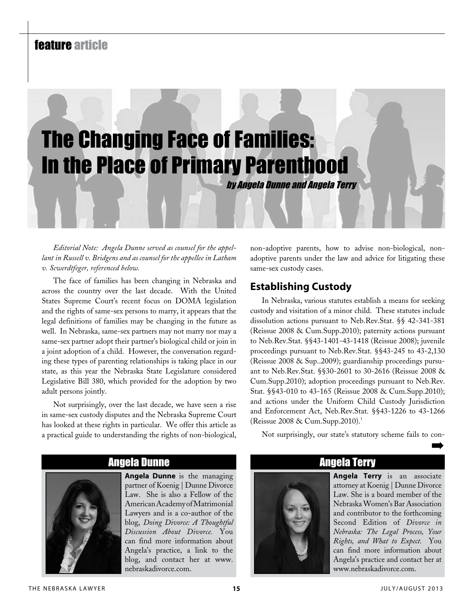# feature article



*Editorial Note: Angela Dunne served as counsel for the appellant in Russell v. Bridgens and as counsel for the appellee in Latham v. Scwerdtfeger, referenced below.*

The face of families has been changing in Nebraska and across the country over the last decade. With the United States Supreme Court's recent focus on DOMA legislation and the rights of same-sex persons to marry, it appears that the legal definitions of families may be changing in the future as well. In Nebraska, same-sex partners may not marry nor may a same-sex partner adopt their partner's biological child or join in a joint adoption of a child. However, the conversation regarding these types of parenting relationships is taking place in our state, as this year the Nebraska State Legislature considered Legislative Bill 380, which provided for the adoption by two adult persons jointly.

Not surprisingly, over the last decade, we have seen a rise in same-sex custody disputes and the Nebraska Supreme Court has looked at these rights in particular. We offer this article as a practical guide to understanding the rights of non-biological,

non-adoptive parents, how to advise non-biological, nonadoptive parents under the law and advice for litigating these same-sex custody cases.

## **Establishing Custody**

In Nebraska, various statutes establish a means for seeking custody and visitation of a minor child. These statutes include dissolution actions pursuant to Neb.Rev.Stat. §§ 42-341-381 (Reissue 2008 & Cum.Supp.2010); paternity actions pursuant to Neb.Rev.Stat. §§43-1401-43-1418 (Reissue 2008); juvenile proceedings pursuant to Neb.Rev.Stat. §§43-245 to 43-2,130 (Reissue 2008 & Sup..2009); guardianship proceedings pursuant to Neb.Rev.Stat. §§30-2601 to 30-2616 (Reissue 2008 & Cum.Supp.2010); adoption proceedings pursuant to Neb.Rev. Stat. §§43-010 to 43-165 (Reissue 2008 & Cum.Supp.2010); and actions under the Uniform Child Custody Jurisdiction and Enforcement Act, Neb.Rev.Stat. §§43-1226 to 43-1266 (Reissue  $2008 \&$  Cum. Supp.  $2010$ ).<sup>1</sup>

Not surprisingly, our state's statutory scheme fails to con-➡



Angela Dunne

**Angela Dunne** is the managing partner of Koenig | Dunne Divorce Law. She is also a Fellow of the American Academy of Matrimonial Lawyers and is a co-author of the blog, *Doing Divorce: A Thoughtful Discussion About Divorce.* You can find more information about Angela's practice, a link to the blog, and contact her at www. nebraskadivorce.com.

## Angela Terry

**Angela Terry** is an associate attorney at Koenig | Dunne Divorce Law. She is a board member of the Nebraska Women's Bar Association and contributor to the forthcoming Second Edition of *Divorce in Nebraska: The Legal Process, Your Rights, and What to Expect.* You can find more information about Angela's practice and contact her at www.nebraskadivorce.com.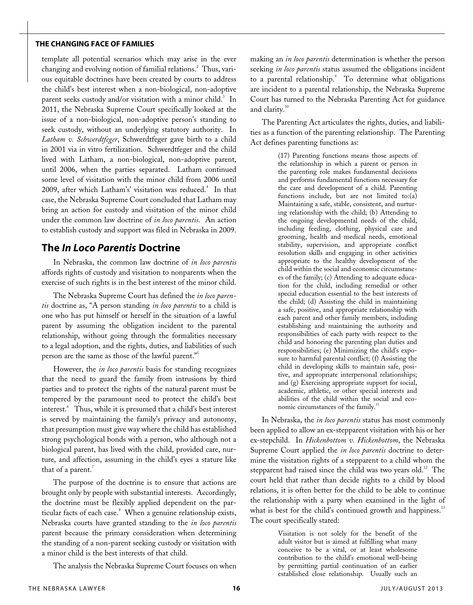#### **the changing face of families**

template all potential scenarios which may arise in the ever changing and evolving notion of familial relations.<sup>2</sup> Thus, various equitable doctrines have been created by courts to address the child's best interest when a non-biological, non-adoptive parent seeks custody and/or visitation with a minor child.<sup>3</sup> In 2011, the Nebraska Supreme Court specifically looked at the issue of a non-biological, non-adoptive person's standing to seek custody, without an underlying statutory authority. In *Latham v. Schwerdtfeger*, Schwerdtfeger gave birth to a child in 2001 via in vitro fertilization. Schwerdtfeger and the child lived with Latham, a non-biological, non-adoptive parent, until 2006, when the parties separated. Latham continued some level of visitation with the minor child from 2006 until 2009, after which Latham's' visitation was reduced.<sup>4</sup> In that case, the Nebraska Supreme Court concluded that Latham may bring an action for custody and visitation of the minor child under the common law doctrine of *in loco parentis*. An action to establish custody and support was filed in Nebraska in 2009.

### **The** *In Loco Parentis* **Doctrine**

In Nebraska, the common law doctrine of *in loco parentis* affords rights of custody and visitation to nonparents when the exercise of such rights is in the best interest of the minor child.

The Nebraska Supreme Court has defined the *in loco parentis* doctrine as, "A person standing *in loco parentis* to a child is one who has put himself or herself in the situation of a lawful parent by assuming the obligation incident to the parental relationship, without going through the formalities necessary to a legal adoption, and the rights, duties, and liabilities of such person are the same as those of the lawful parent."<sup>5</sup>

However, the *in loco parentis* basis for standing recognizes that the need to guard the family from intrusions by third parties and to protect the rights of the natural parent must be tempered by the paramount need to protect the child's best interest.<sup>6</sup> Thus, while it is presumed that a child's best interest is served by maintaining the family's privacy and autonomy, that presumption must give way where the child has established strong psychological bonds with a person, who although not a biological parent, has lived with the child, provided care, nurture, and affection, assuming in the child's eyes a stature like that of a parent.<sup>7</sup>

The purpose of the doctrine is to ensure that actions are brought only by people with substantial interests. Accordingly, the doctrine must be flexibly applied dependent on the particular facts of each case.<sup>8</sup> When a genuine relationship exists, Nebraska courts have granted standing to the *in loco parentis* parent because the primary consideration when determining the standing of a non-parent seeking custody or visitation with a minor child is the best interests of that child.

The analysis the Nebraska Supreme Court focuses on when

making an *in loco parentis* determination is whether the person seeking *in loco parentis* status assumed the obligations incident to a parental relationship.<sup>9</sup> To determine what obligations are incident to a parental relationship, the Nebraska Supreme Court has turned to the Nebraska Parenting Act for guidance and clarity.<sup>10</sup>

The Parenting Act articulates the rights, duties, and liabilities as a function of the parenting relationship. The Parenting Act defines parenting functions as:

> (17) Parenting functions means those aspects of the relationship in which a parent or person in the parenting role makes fundamental decisions and performs fundamental functions necessary for the care and development of a child. Parenting functions include, but are not limited to:(a) Maintaining a safe, stable, consistent, and nurturing relationship with the child; (b) Attending to the ongoing developmental needs of the child, including feeding, clothing, physical care and grooming, health and medical needs, emotional stability, supervision, and appropriate conflict resolution skills and engaging in other activities appropriate to the healthy development of the child within the social and economic circumstances of the family; (c) Attending to adequate education for the child, including remedial or other special education essential to the best interests of the child; (d) Assisting the child in maintaining a safe, positive, and appropriate relationship with each parent and other family members, including establishing and maintaining the authority and responsibilities of each party with respect to the child and honoring the parenting plan duties and responsibilities; (e) Minimizing the child's exposure to harmful parental conflict; (f) Assisting the child in developing skills to maintain safe, positive, and appropriate interpersonal relationships; and (g) Exercising appropriate support for social, academic, athletic, or other special interests and abilities of the child within the social and economic circumstances of the family.<sup>11</sup>

In Nebraska, the *in loco parentis* status has most commonly been applied to allow an ex-stepparent visitation with his or her ex-stepchild. In *Hickenbottom v. Hickenbottom*, the Nebraska Supreme Court applied the *in loco parentis* doctrine to determine the visitation rights of a stepparent to a child whom the stepparent had raised since the child was two years old.<sup>12</sup> The court held that rather than decide rights to a child by blood relations, it is often better for the child to be able to continue the relationship with a party when examined in the light of what is best for the child's continued growth and happiness.<sup>13</sup> The court specifically stated:

> Visitation is not solely for the benefit of the adult visitor but is aimed at fulfilling what many conceive to be a vital, or at least wholesome contribution to the child's emotional well-being by permitting partial continuation of an earlier established close relationship. Usually such an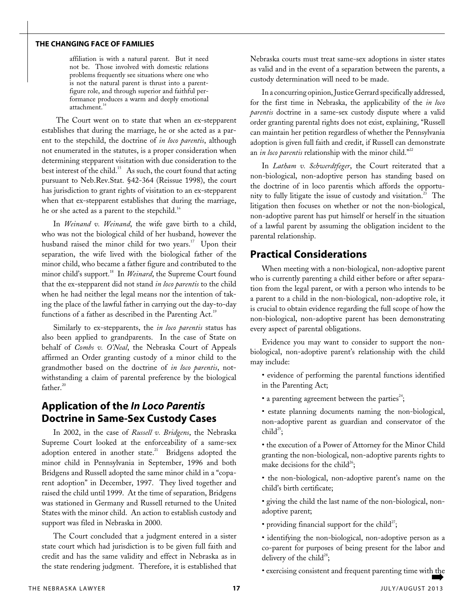#### **the changing face of families**

affiliation is with a natural parent. But it need not be. Those involved with domestic relations problems frequently see situations where one who is not the natural parent is thrust into a parentfigure role, and through superior and faithful performance produces a warm and deeply emotional attachment.<sup>14</sup>

 The Court went on to state that when an ex-stepparent establishes that during the marriage, he or she acted as a parent to the stepchild, the doctrine of *in loco parentis*, although not enumerated in the statutes, is a proper consideration when determining stepparent visitation with due consideration to the best interest of the child.<sup>15</sup> As such, the court found that acting pursuant to Neb.Rev.Stat. §42-364 (Reissue 1998), the court has jurisdiction to grant rights of visitation to an ex-stepparent when that ex-stepparent establishes that during the marriage, he or she acted as a parent to the stepchild.<sup>16</sup>

In *Weinand v. Weinand*, the wife gave birth to a child, who was not the biological child of her husband, however the husband raised the minor child for two years.<sup>17</sup> Upon their separation, the wife lived with the biological father of the minor child, who became a father figure and contributed to the minor child's support.<sup>18</sup> In *Weinard*, the Supreme Court found that the ex-stepparent did not stand *in loco parentis* to the child when he had neither the legal means nor the intention of taking the place of the lawful father in carrying out the day-to-day functions of a father as described in the Parenting Act.<sup>19</sup>

Similarly to ex-stepparents, the *in loco parentis* status has also been applied to grandparents. In the case of State on behalf of *Combs v. O'Neal*, the Nebraska Court of Appeals affirmed an Order granting custody of a minor child to the grandmother based on the doctrine of *in loco parentis*, notwithstanding a claim of parental preference by the biological father. $20$ 

## **Application of the** *In Loco Parentis* **Doctrine in Same-Sex Custody Cases**

In 2002, in the case of *Russell v. Bridgens*, the Nebraska Supreme Court looked at the enforceability of a same-sex adoption entered in another state.<sup>21</sup> Bridgens adopted the minor child in Pennsylvania in September, 1996 and both Bridgens and Russell adopted the same minor child in a "coparent adoption" in December, 1997. They lived together and raised the child until 1999. At the time of separation, Bridgens was stationed in Germany and Russell returned to the United States with the minor child. An action to establish custody and support was filed in Nebraska in 2000.

The Court concluded that a judgment entered in a sister state court which had jurisdiction is to be given full faith and credit and has the same validity and effect in Nebraska as in the state rendering judgment. Therefore, it is established that

Nebraska courts must treat same-sex adoptions in sister states as valid and in the event of a separation between the parents, a custody determination will need to be made.

In a concurring opinion, Justice Gerrard specifically addressed, for the first time in Nebraska, the applicability of the *in loco parentis* doctrine in a same-sex custody dispute where a valid order granting parental rights does not exist, explaining, "Russell can maintain her petition regardless of whether the Pennsylvania adoption is given full faith and credit, if Russell can demonstrate an *in loco parentis* relationship with the minor child."<sup>22</sup>

In *Latham v. Schwerdtfeger*, the Court reiterated that a non-biological, non-adoptive person has standing based on the doctrine of in loco parentis which affords the opportunity to fully litigate the issue of custody and visitation. $23$  The litigation then focuses on whether or not the non-biological, non-adoptive parent has put himself or herself in the situation of a lawful parent by assuming the obligation incident to the parental relationship.

#### **Practical Considerations**

When meeting with a non-biological, non-adoptive parent who is currently parenting a child either before or after separation from the legal parent, or with a person who intends to be a parent to a child in the non-biological, non-adoptive role, it is crucial to obtain evidence regarding the full scope of how the non-biological, non-adoptive parent has been demonstrating every aspect of parental obligations.

Evidence you may want to consider to support the nonbiological, non-adoptive parent's relationship with the child may include:

- evidence of performing the parental functions identified in the Parenting Act;
- a parenting agreement between the parties<sup>24</sup>;
- estate planning documents naming the non-biological, non-adoptive parent as guardian and conservator of the child<sup>25</sup>:

• the execution of a Power of Attorney for the Minor Child granting the non-biological, non-adoptive parents rights to make decisions for the child<sup>26</sup>;

- the non-biological, non-adoptive parent's name on the child's birth certificate;
- giving the child the last name of the non-biological, nonadoptive parent;
- providing financial support for the child<sup>27</sup>;
- identifying the non-biological, non-adoptive person as a co-parent for purposes of being present for the labor and delivery of the child<sup>28</sup>;
- exercising consistent and frequent parenting time with the